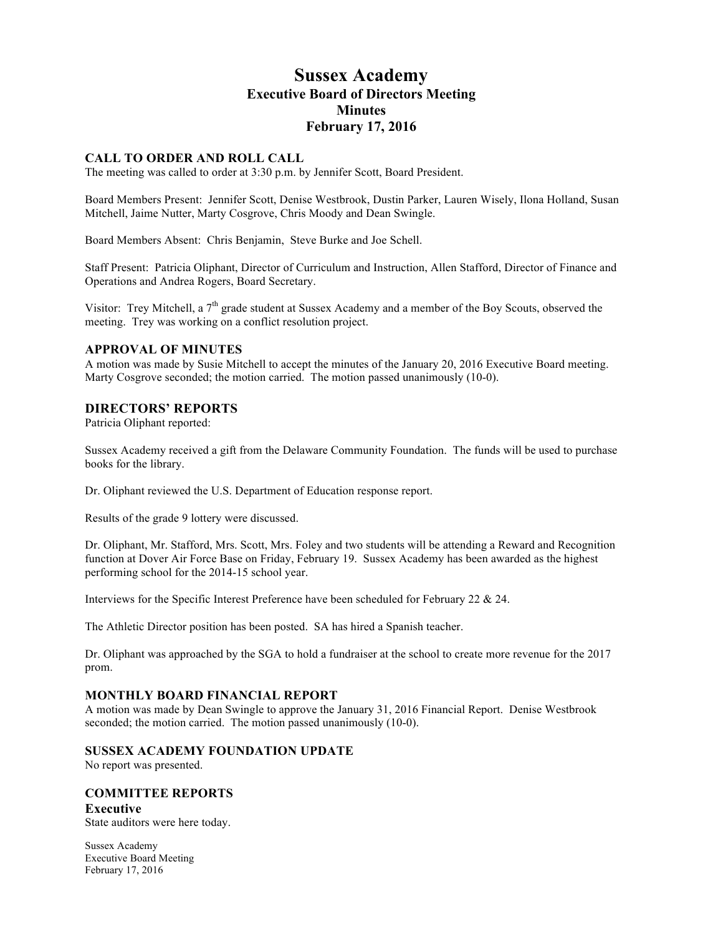# **Sussex Academy Executive Board of Directors Meeting Minutes February 17, 2016**

# **CALL TO ORDER AND ROLL CALL**

The meeting was called to order at 3:30 p.m. by Jennifer Scott, Board President.

Board Members Present: Jennifer Scott, Denise Westbrook, Dustin Parker, Lauren Wisely, Ilona Holland, Susan Mitchell, Jaime Nutter, Marty Cosgrove, Chris Moody and Dean Swingle.

Board Members Absent: Chris Benjamin, Steve Burke and Joe Schell.

Staff Present: Patricia Oliphant, Director of Curriculum and Instruction, Allen Stafford, Director of Finance and Operations and Andrea Rogers, Board Secretary.

Visitor: Trey Mitchell, a  $7<sup>th</sup>$  grade student at Sussex Academy and a member of the Boy Scouts, observed the meeting. Trey was working on a conflict resolution project.

# **APPROVAL OF MINUTES**

A motion was made by Susie Mitchell to accept the minutes of the January 20, 2016 Executive Board meeting. Marty Cosgrove seconded; the motion carried. The motion passed unanimously (10-0).

# **DIRECTORS' REPORTS**

Patricia Oliphant reported:

Sussex Academy received a gift from the Delaware Community Foundation. The funds will be used to purchase books for the library.

Dr. Oliphant reviewed the U.S. Department of Education response report.

Results of the grade 9 lottery were discussed.

Dr. Oliphant, Mr. Stafford, Mrs. Scott, Mrs. Foley and two students will be attending a Reward and Recognition function at Dover Air Force Base on Friday, February 19. Sussex Academy has been awarded as the highest performing school for the 2014-15 school year.

Interviews for the Specific Interest Preference have been scheduled for February 22 & 24.

The Athletic Director position has been posted. SA has hired a Spanish teacher.

Dr. Oliphant was approached by the SGA to hold a fundraiser at the school to create more revenue for the 2017 prom.

# **MONTHLY BOARD FINANCIAL REPORT**

A motion was made by Dean Swingle to approve the January 31, 2016 Financial Report. Denise Westbrook seconded; the motion carried. The motion passed unanimously (10-0).

# **SUSSEX ACADEMY FOUNDATION UPDATE**

No report was presented.

# **COMMITTEE REPORTS**

**Executive**

State auditors were here today.

Sussex Academy Executive Board Meeting February 17, 2016